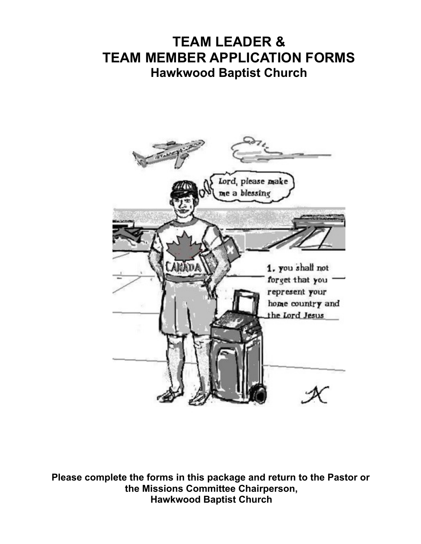# **TEAM LEADER & TEAM MEMBER APPLICATION FORMS Hawkwood Baptist Church**



**Please complete the forms in this package and return to the Pastor or the Missions Committee Chairperson, Hawkwood Baptist Church**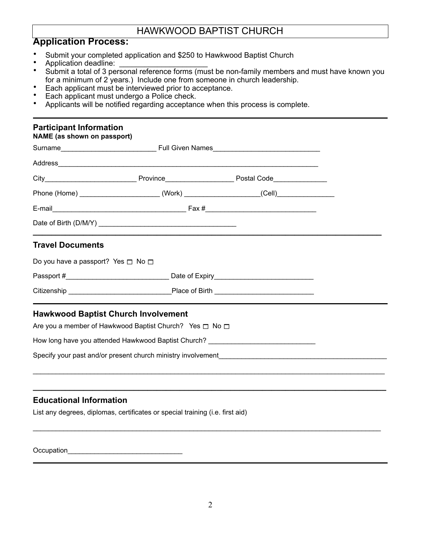### **Application Process:**

- Submit your completed application and \$250 to Hawkwood Baptist Church<br>• Application deadline:
- Application deadline:
- Submit a total of 3 personal reference forms (must be non-family members and must have known you for a minimum of 2 years.) Include one from someone in church leadership.
- Each applicant must be interviewed prior to acceptance.<br>• Each applicant must undergo a Police check
- Each applicant must undergo a Police check.
- Applicants will be notified regarding acceptance when this process is complete.

## **Participant Information**

| NAME (as shown on passport)                  |                                                         |                                                                                                      |  |
|----------------------------------------------|---------------------------------------------------------|------------------------------------------------------------------------------------------------------|--|
|                                              |                                                         |                                                                                                      |  |
|                                              |                                                         |                                                                                                      |  |
|                                              |                                                         |                                                                                                      |  |
|                                              |                                                         | Phone (Home) ___________________________(Work) _____________________(Cell)__________________________ |  |
|                                              |                                                         |                                                                                                      |  |
|                                              |                                                         |                                                                                                      |  |
| <b>Travel Documents</b>                      |                                                         |                                                                                                      |  |
| Do you have a passport? Yes $\Box$ No $\Box$ |                                                         |                                                                                                      |  |
|                                              |                                                         |                                                                                                      |  |
|                                              |                                                         |                                                                                                      |  |
| <b>Hawkwood Baptist Church Involvement</b>   |                                                         |                                                                                                      |  |
|                                              | Are you a member of Hawkwood Baptist Church? Yes □ No □ |                                                                                                      |  |
|                                              |                                                         | How long have you attended Hawkwood Baptist Church? ____________________________                     |  |
|                                              |                                                         |                                                                                                      |  |
|                                              |                                                         |                                                                                                      |  |

### **Educational Information**

List any degrees, diplomas, certificates or special training (i.e. first aid)

Occupation\_\_\_\_

**\_\_\_\_\_\_\_\_\_\_\_\_\_\_\_\_\_\_\_\_\_\_\_\_\_\_\_\_\_\_\_\_\_\_\_\_\_\_\_\_\_\_\_\_\_\_\_\_\_\_\_\_\_\_\_\_\_\_\_\_\_\_\_\_\_\_\_\_\_\_\_\_\_\_\_\_\_** 

 $\_$  ,  $\_$  ,  $\_$  ,  $\_$  ,  $\_$  ,  $\_$  ,  $\_$  ,  $\_$  ,  $\_$  ,  $\_$  ,  $\_$  ,  $\_$  ,  $\_$  ,  $\_$  ,  $\_$  ,  $\_$  ,  $\_$  ,  $\_$  ,  $\_$  ,  $\_$  ,  $\_$  ,  $\_$  ,  $\_$  ,  $\_$  ,  $\_$  ,  $\_$  ,  $\_$  ,  $\_$  ,  $\_$  ,  $\_$  ,  $\_$  ,  $\_$  ,  $\_$  ,  $\_$  ,  $\_$  ,  $\_$  ,  $\_$  ,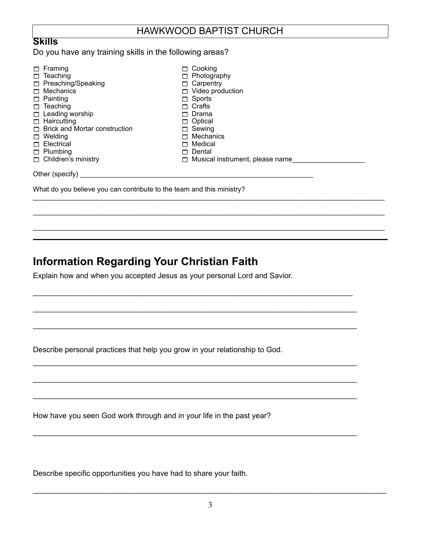## **Skills**

Do you have any training skills in the following areas?

| $\Box$ Framing<br>Teaching<br>□<br>$\Box$ Preaching/Speaking<br>$\Box$ Mechanics<br>$\Box$ Painting<br>$\Box$ Teaching<br>$\Box$ Leading worship<br>$\Box$ Haircutting<br>$\Box$ Brick and Mortar construction<br>$\Box$ Welding<br>$\Box$ Electrical | Cooking<br>Photography<br>Carpentry<br>П.<br>Video production<br>⊓<br>Sports<br>П.<br>□ Crafts<br>Drama<br>Optical<br>Sewing<br>Mechanics<br>Medical |
|-------------------------------------------------------------------------------------------------------------------------------------------------------------------------------------------------------------------------------------------------------|------------------------------------------------------------------------------------------------------------------------------------------------------|
| $\Box$ Plumbing<br>$\Box$ Children's ministry                                                                                                                                                                                                         | Dental<br>Musical instrument, please name                                                                                                            |
| Other (specify)<br>What do you believe you can contribute to the team and this ministry?                                                                                                                                                              |                                                                                                                                                      |

 $\_$  ,  $\_$  ,  $\_$  ,  $\_$  ,  $\_$  ,  $\_$  ,  $\_$  ,  $\_$  ,  $\_$  ,  $\_$  ,  $\_$  ,  $\_$  ,  $\_$  ,  $\_$  ,  $\_$  ,  $\_$  ,  $\_$  ,  $\_$  ,  $\_$  ,  $\_$  ,  $\_$  ,  $\_$  ,  $\_$  ,  $\_$  ,  $\_$  ,  $\_$  ,  $\_$  ,  $\_$  ,  $\_$  ,  $\_$  ,  $\_$  ,  $\_$  ,  $\_$  ,  $\_$  ,  $\_$  ,  $\_$  ,  $\_$  ,

 $\mathcal{L}_\mathcal{L} = \{ \mathcal{L}_\mathcal{L} = \{ \mathcal{L}_\mathcal{L} = \{ \mathcal{L}_\mathcal{L} = \{ \mathcal{L}_\mathcal{L} = \{ \mathcal{L}_\mathcal{L} = \{ \mathcal{L}_\mathcal{L} = \{ \mathcal{L}_\mathcal{L} = \{ \mathcal{L}_\mathcal{L} = \{ \mathcal{L}_\mathcal{L} = \{ \mathcal{L}_\mathcal{L} = \{ \mathcal{L}_\mathcal{L} = \{ \mathcal{L}_\mathcal{L} = \{ \mathcal{L}_\mathcal{L} = \{ \mathcal{L}_\mathcal{$ 

\_\_\_\_\_\_\_\_\_\_\_\_\_\_\_\_\_\_\_\_\_\_\_\_\_\_\_\_\_\_\_\_\_\_\_\_\_\_\_\_\_\_\_\_\_\_\_\_\_\_\_\_\_\_\_\_\_\_\_\_\_\_\_\_\_\_\_\_\_\_\_\_\_\_\_\_

\_\_\_\_\_\_\_\_\_\_\_\_\_\_\_\_\_\_\_\_\_\_\_\_\_\_\_\_\_\_\_\_\_\_\_\_\_\_\_\_\_\_\_\_\_\_\_\_\_\_\_\_\_\_\_\_\_\_\_\_\_\_\_\_\_\_\_\_\_\_\_\_\_\_\_\_\_

\_\_\_\_\_\_\_\_\_\_\_\_\_\_\_\_\_\_\_\_\_\_\_\_\_\_\_\_\_\_\_\_\_\_\_\_\_\_\_\_\_\_\_\_\_\_\_\_\_\_\_\_\_\_\_\_\_\_\_\_\_\_\_\_\_\_\_\_\_\_\_\_\_\_\_\_\_

\_\_\_\_\_\_\_\_\_\_\_\_\_\_\_\_\_\_\_\_\_\_\_\_\_\_\_\_\_\_\_\_\_\_\_\_\_\_\_\_\_\_\_\_\_\_\_\_\_\_\_\_\_\_\_\_\_\_\_\_\_\_\_\_\_\_\_\_\_\_\_\_\_\_\_\_\_

\_\_\_\_\_\_\_\_\_\_\_\_\_\_\_\_\_\_\_\_\_\_\_\_\_\_\_\_\_\_\_\_\_\_\_\_\_\_\_\_\_\_\_\_\_\_\_\_\_\_\_\_\_\_\_\_\_\_\_\_\_\_\_\_\_\_\_\_\_\_\_\_\_\_\_\_\_

\_\_\_\_\_\_\_\_\_\_\_\_\_\_\_\_\_\_\_\_\_\_\_\_\_\_\_\_\_\_\_\_\_\_\_\_\_\_\_\_\_\_\_\_\_\_\_\_\_\_\_\_\_\_\_\_\_\_\_\_\_\_\_\_\_\_\_\_\_\_\_\_\_\_\_\_\_

\_\_\_\_\_\_\_\_\_\_\_\_\_\_\_\_\_\_\_\_\_\_\_\_\_\_\_\_\_\_\_\_\_\_\_\_\_\_\_\_\_\_\_\_\_\_\_\_\_\_\_\_\_\_\_\_\_\_\_\_\_\_\_\_\_\_\_\_\_\_\_\_\_\_\_\_\_

# **Information Regarding Your Christian Faith**

Explain how and when you accepted Jesus as your personal Lord and Savior.

Describe personal practices that help you grow in your relationship to God.

How have you seen God work through and in your life in the past year?

Describe specific opportunities you have had to share your faith.

\_\_\_\_\_\_\_\_\_\_\_\_\_\_\_\_\_\_\_\_\_\_\_\_\_\_\_\_\_\_\_\_\_\_\_\_\_\_\_\_\_\_\_\_\_\_\_\_\_\_\_\_\_\_\_\_\_\_\_\_\_\_\_\_\_\_\_\_\_\_\_\_\_\_\_\_\_\_\_\_\_\_\_\_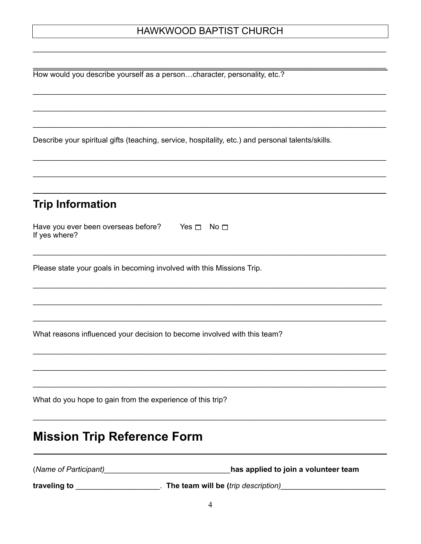How would you describe yourself as a person...character, personality, etc.?

|  |  |  |  | Describe your spiritual gifts (teaching, service, hospitality, etc.) and personal talents/skills. |  |
|--|--|--|--|---------------------------------------------------------------------------------------------------|--|
|  |  |  |  |                                                                                                   |  |

| <b>Trip Information</b>                                                   |
|---------------------------------------------------------------------------|
| Have you ever been overseas before? Yes $\Box$ No $\Box$<br>If yes where? |
| Please state your goals in becoming involved with this Missions Trip.     |
|                                                                           |
|                                                                           |
| What reasons influenced your decision to become involved with this team?  |
|                                                                           |
|                                                                           |
| What do you hope to gain from the experience of this trip?                |
| <b>Mission Trip Reference Form</b>                                        |

traveling to \_\_\_\_\_\_\_\_\_\_\_\_\_\_\_\_\_\_\_\_\_\_\_\_. The team will be (trip description)\_\_\_\_\_\_\_\_\_\_\_\_\_\_\_\_\_\_\_\_\_\_\_\_\_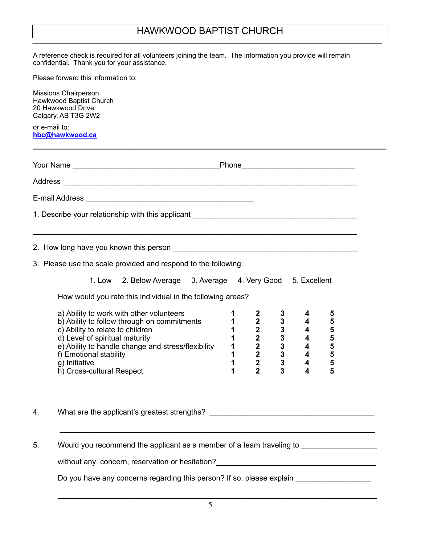#### HAWKWOOD BAPTIST CHURCH *\_\_\_\_\_\_\_\_\_\_\_\_\_\_\_\_\_\_\_\_\_\_\_\_\_\_\_\_\_\_\_\_\_\_\_\_\_\_\_\_\_\_\_\_\_\_\_\_\_\_\_\_\_\_\_\_\_\_\_\_\_\_\_\_\_\_\_\_\_\_\_\_\_\_\_\_\_\_\_\_\_\_\_.*

A reference check is required for all volunteers joining the team. The information you provide will remain confidential. Thank you for your assistance.

Please forward this information to:

Missions Chairperson Hawkwood Baptist Church 20 Hawkwood Drive Calgary, AB T3G 2W2

or e-mail to: **[hbc@hawkwood.ca](mailto:hbc@hawkwood.ca) \_\_\_\_\_\_\_\_\_\_\_\_\_\_\_\_\_\_\_\_\_\_\_\_\_\_\_\_\_\_\_\_\_\_\_\_\_\_\_\_\_\_\_\_\_\_\_\_\_\_\_\_\_\_\_\_\_\_\_\_\_\_\_\_\_\_**

|                                                                                   | Phone 2008 2009 2010 2021 2022 2023 2024 2022 2023 2024 2022 2023 2024 2022 2023 2024 2022 2023 2024 2022 2023 |
|-----------------------------------------------------------------------------------|----------------------------------------------------------------------------------------------------------------|
|                                                                                   |                                                                                                                |
|                                                                                   |                                                                                                                |
| 1. Describe your relationship with this applicant _______________________________ |                                                                                                                |
|                                                                                   |                                                                                                                |
|                                                                                   |                                                                                                                |

3. Please use the scale provided and respond to the following:

1. Low 2. Below Average 3. Average 4. Very Good 5. Excellent

How would you rate this individual in the following areas?

| a) Ability to work with other volunteers           |  |  | 5 |
|----------------------------------------------------|--|--|---|
| b) Ability to follow through on commitments        |  |  | 5 |
| c) Ability to relate to children                   |  |  |   |
| d) Level of spiritual maturity                     |  |  | 5 |
| e) Ability to handle change and stress/flexibility |  |  | 5 |
| f) Emotional stability                             |  |  |   |
| g) Initiative                                      |  |  | 5 |
| h) Cross-cultural Respect                          |  |  |   |

4. What are the applicant's greatest strengths?

5. Would you recommend the applicant as a member of a team traveling to

without any concern, reservation or hesitation?

Do you have any concerns regarding this person? If so, please explain \_\_\_\_\_\_\_\_\_\_\_\_\_\_\_\_\_

\_\_\_\_\_\_\_\_\_\_\_\_\_\_\_\_\_\_\_\_\_\_\_\_\_\_\_\_\_\_\_\_\_\_\_\_\_\_\_\_\_\_\_\_\_\_\_\_\_\_\_\_\_\_\_\_\_\_\_\_\_\_\_\_\_\_\_\_\_\_\_\_\_\_\_\_

 $\mathcal{L}_\text{max}$  , and the contribution of the contribution of the contribution of the contribution of the contribution of the contribution of the contribution of the contribution of the contribution of the contribution of t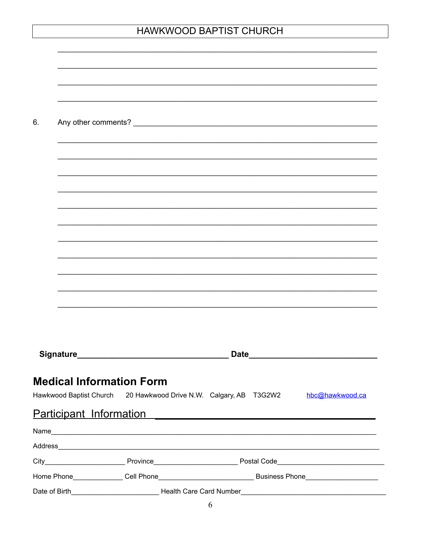| 6.                              |                                                                                   |  |  |
|---------------------------------|-----------------------------------------------------------------------------------|--|--|
|                                 |                                                                                   |  |  |
|                                 |                                                                                   |  |  |
|                                 |                                                                                   |  |  |
|                                 |                                                                                   |  |  |
|                                 |                                                                                   |  |  |
|                                 |                                                                                   |  |  |
|                                 |                                                                                   |  |  |
|                                 |                                                                                   |  |  |
|                                 |                                                                                   |  |  |
|                                 |                                                                                   |  |  |
|                                 |                                                                                   |  |  |
|                                 |                                                                                   |  |  |
|                                 |                                                                                   |  |  |
|                                 |                                                                                   |  |  |
| <b>Medical Information Form</b> |                                                                                   |  |  |
|                                 | Hawkwood Baptist Church 20 Hawkwood Drive N.W. Calgary, AB T3G2W2 hbc@hawkwood.ca |  |  |
|                                 | Participant Information <b>Districts Participant Information</b>                  |  |  |
|                                 |                                                                                   |  |  |
|                                 |                                                                                   |  |  |
|                                 |                                                                                   |  |  |
|                                 |                                                                                   |  |  |
|                                 |                                                                                   |  |  |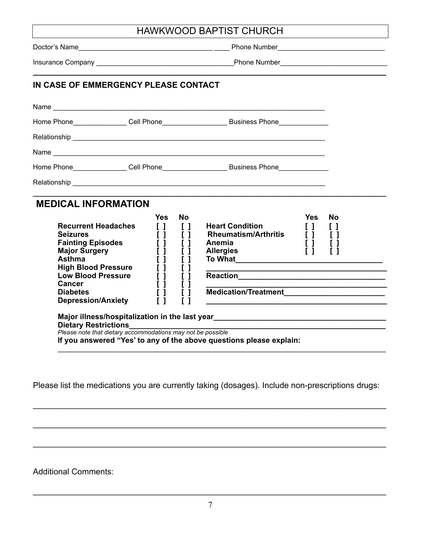**\_\_\_\_\_\_\_\_\_\_\_\_\_\_\_\_\_\_\_\_\_\_\_\_\_\_\_\_\_\_\_\_\_\_\_\_\_\_\_\_\_\_\_\_\_\_\_\_\_\_\_\_\_\_\_\_\_\_\_\_\_\_\_\_\_\_\_\_\_\_\_\_\_\_\_\_\_** 

Doctor's Name\_\_\_\_\_\_\_\_\_\_\_\_\_\_\_\_\_\_\_\_\_\_\_\_\_\_\_\_\_\_\_\_\_\_\_ \_\_\_\_ Phone Number\_\_\_\_\_\_\_\_\_\_\_\_\_\_\_\_\_\_\_\_\_\_\_\_\_\_\_\_

Insurance Company **Example 20** and the set of the Shane Number **Department of the Shane Number** 

### **IN CASE OF EMMERGENCY PLEASE CONTACT**

| Name                         | <u> 2000 - Jan Barnett, amerikansk politiker (d. 1982)</u> |                               |
|------------------------------|------------------------------------------------------------|-------------------------------|
| Home Phone <u>__________</u> | Cell Phone <u>Call Phone</u>                               | Business Phone_______________ |
| Relationship                 |                                                            |                               |
| Name                         |                                                            |                               |
| Home Phone                   | Cell Phone                                                 | Business Phone                |
| Relationship                 |                                                            |                               |

 $\mathcal{L}_\mathcal{L} = \{ \mathcal{L}_\mathcal{L} = \{ \mathcal{L}_\mathcal{L} = \{ \mathcal{L}_\mathcal{L} = \{ \mathcal{L}_\mathcal{L} = \{ \mathcal{L}_\mathcal{L} = \{ \mathcal{L}_\mathcal{L} = \{ \mathcal{L}_\mathcal{L} = \{ \mathcal{L}_\mathcal{L} = \{ \mathcal{L}_\mathcal{L} = \{ \mathcal{L}_\mathcal{L} = \{ \mathcal{L}_\mathcal{L} = \{ \mathcal{L}_\mathcal{L} = \{ \mathcal{L}_\mathcal{L} = \{ \mathcal{L}_\mathcal{$ 

### **MEDICAL INFORMATION**

|                            | Yes | Nο |                             | Yes | No |
|----------------------------|-----|----|-----------------------------|-----|----|
| <b>Recurrent Headaches</b> |     |    | <b>Heart Condition</b>      |     |    |
| <b>Seizures</b>            |     |    | <b>Rheumatism/Arthritis</b> |     |    |
| <b>Fainting Episodes</b>   |     |    | Anemia                      |     |    |
| <b>Major Surgery</b>       |     |    | <b>Allergies</b>            |     |    |
| <b>Asthma</b>              |     |    | <b>To What</b>              |     |    |
| <b>High Blood Pressure</b> |     |    |                             |     |    |
| <b>Low Blood Pressure</b>  |     |    | <b>Reaction</b>             |     |    |
| Cancer                     |     |    |                             |     |    |
| <b>Diabetes</b>            |     |    | <b>Medication/Treatment</b> |     |    |
| <b>Depression/Anxiety</b>  |     |    |                             |     |    |

\_\_\_\_\_\_\_\_\_\_\_\_\_\_\_\_\_\_\_\_\_\_\_\_\_\_\_\_\_\_\_\_\_\_\_\_\_\_\_\_\_\_\_\_\_\_\_\_\_\_\_\_\_\_\_\_\_\_\_\_\_\_\_\_\_\_\_\_\_\_\_\_\_\_\_\_\_\_

 **Dietary Restrictions\_\_\_\_\_\_\_\_\_\_\_\_\_\_\_\_\_\_\_\_\_\_\_\_\_\_\_\_\_\_\_\_\_\_\_\_\_\_\_\_\_\_\_\_\_\_\_\_\_\_\_\_\_\_\_\_\_\_\_\_\_** 

 *Please note that dietary accommodations may not be possible* 

**If you answered "Yes' to any of the above questions please explain:** 

Please list the medications you are currently taking (dosages). Include non-prescriptions drugs:

\_\_\_\_\_\_\_\_\_\_\_\_\_\_\_\_\_\_\_\_\_\_\_\_\_\_\_\_\_\_\_\_\_\_\_\_\_\_\_\_\_\_\_\_\_\_\_\_\_\_\_\_\_\_\_\_\_\_\_\_\_\_\_\_\_\_\_\_\_\_\_\_\_\_\_\_\_

\_\_\_\_\_\_\_\_\_\_\_\_\_\_\_\_\_\_\_\_\_\_\_\_\_\_\_\_\_\_\_\_\_\_\_\_\_\_\_\_\_\_\_\_\_\_\_\_\_\_\_\_\_\_\_\_\_\_\_\_\_\_\_\_\_\_\_\_\_\_\_\_\_\_\_\_\_

 $\mathcal{L}_\mathcal{L} = \mathcal{L}_\mathcal{L} = \mathcal{L}_\mathcal{L} = \mathcal{L}_\mathcal{L} = \mathcal{L}_\mathcal{L} = \mathcal{L}_\mathcal{L} = \mathcal{L}_\mathcal{L} = \mathcal{L}_\mathcal{L} = \mathcal{L}_\mathcal{L} = \mathcal{L}_\mathcal{L} = \mathcal{L}_\mathcal{L} = \mathcal{L}_\mathcal{L} = \mathcal{L}_\mathcal{L} = \mathcal{L}_\mathcal{L} = \mathcal{L}_\mathcal{L} = \mathcal{L}_\mathcal{L} = \mathcal{L}_\mathcal{L}$ 

Additional Comments: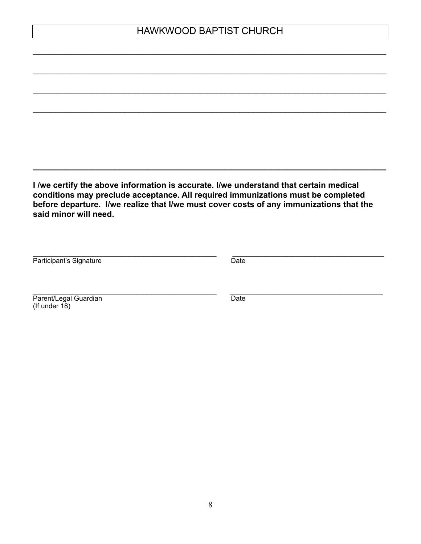\_\_\_\_\_\_\_\_\_\_\_\_\_\_\_\_\_\_\_\_\_\_\_\_\_\_\_\_\_\_\_\_\_\_\_\_\_\_\_\_\_\_\_\_\_\_\_\_\_\_\_\_\_\_\_\_\_\_\_\_\_\_\_\_\_\_\_\_\_\_\_\_\_\_\_\_\_

 $\mathcal{L}_\mathcal{L} = \mathcal{L}_\mathcal{L} = \mathcal{L}_\mathcal{L} = \mathcal{L}_\mathcal{L} = \mathcal{L}_\mathcal{L} = \mathcal{L}_\mathcal{L} = \mathcal{L}_\mathcal{L} = \mathcal{L}_\mathcal{L} = \mathcal{L}_\mathcal{L} = \mathcal{L}_\mathcal{L} = \mathcal{L}_\mathcal{L} = \mathcal{L}_\mathcal{L} = \mathcal{L}_\mathcal{L} = \mathcal{L}_\mathcal{L} = \mathcal{L}_\mathcal{L} = \mathcal{L}_\mathcal{L} = \mathcal{L}_\mathcal{L}$ 

\_\_\_\_\_\_\_\_\_\_\_\_\_\_\_\_\_\_\_\_\_\_\_\_\_\_\_\_\_\_\_\_\_\_\_\_\_\_\_\_\_\_\_\_\_\_\_\_\_\_\_\_\_\_\_\_\_\_\_\_\_\_\_\_\_\_\_\_\_\_\_\_\_\_\_\_\_

\_\_\_\_\_\_\_\_\_\_\_\_\_\_\_\_\_\_\_\_\_\_\_\_\_\_\_\_\_\_\_\_\_\_\_\_\_\_\_\_\_\_\_\_\_\_\_\_\_\_\_\_\_\_\_\_\_\_\_\_\_\_\_\_\_\_\_\_\_\_\_\_\_\_\_\_\_

**\_\_\_\_\_\_\_\_\_\_\_\_\_\_\_\_\_\_\_\_\_\_\_\_\_\_\_\_\_\_\_\_\_\_\_\_\_\_\_\_\_\_\_\_\_\_\_\_\_\_\_\_\_\_\_\_\_\_\_\_\_\_\_\_\_\_\_\_\_\_\_\_\_\_\_\_\_** 

**I /we certify the above information is accurate. I/we understand that certain medical conditions may preclude acceptance. All required immunizations must be completed before departure. I/we realize that I/we must cover costs of any immunizations that the said minor will need.** 

| Participant's Signature | Date |  |
|-------------------------|------|--|
|                         |      |  |
|                         |      |  |
|                         |      |  |
| Parent/Legal Guardian   | Date |  |

\_\_\_\_\_\_\_\_\_\_\_\_\_\_\_\_\_\_\_\_\_\_\_\_\_\_\_\_\_\_\_\_\_\_\_\_\_\_\_\_ \_\_\_\_\_\_\_\_\_\_\_\_\_\_\_\_\_\_\_\_\_\_\_\_\_\_\_\_\_\_\_\_\_

(If under 18)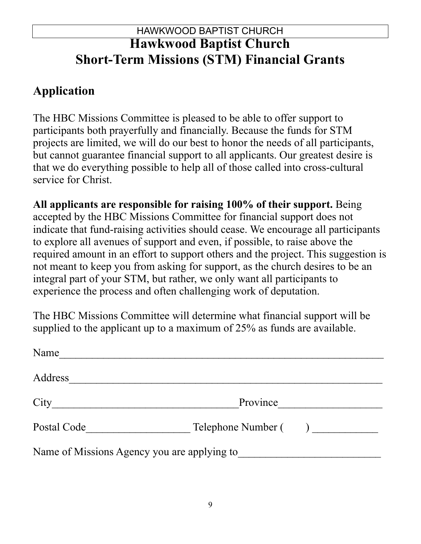# HAWKWOOD BAPTIST CHURCH **Hawkwood Baptist Church Short-Term Missions (STM) Financial Grants**

# **Application**

The HBC Missions Committee is pleased to be able to offer support to participants both prayerfully and financially. Because the funds for STM projects are limited, we will do our best to honor the needs of all participants, but cannot guarantee financial support to all applicants. Our greatest desire is that we do everything possible to help all of those called into cross-cultural service for Christ.

**All applicants are responsible for raising 100% of their support.** Being accepted by the HBC Missions Committee for financial support does not indicate that fund-raising activities should cease. We encourage all participants to explore all avenues of support and even, if possible, to raise above the required amount in an effort to support others and the project. This suggestion is not meant to keep you from asking for support, as the church desires to be an integral part of your STM, but rather, we only want all participants to experience the process and often challenging work of deputation.

The HBC Missions Committee will determine what financial support will be supplied to the applicant up to a maximum of 25% as funds are available.

| Name                                        |                     |  |
|---------------------------------------------|---------------------|--|
| Address                                     |                     |  |
| City                                        | Province            |  |
| Postal Code                                 | Telephone Number () |  |
| Name of Missions Agency you are applying to |                     |  |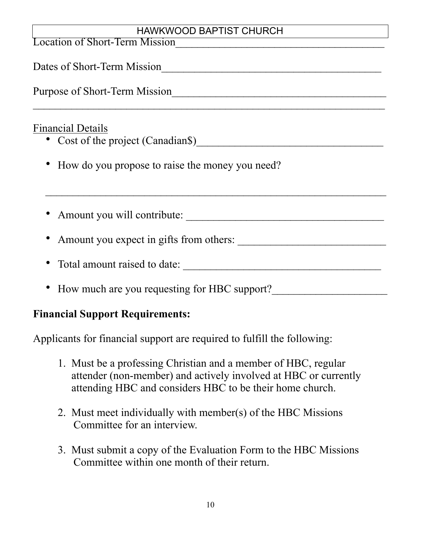$\mathcal{L}_\text{max}$  , and the contract of the contract of the contract of the contract of the contract of the contract of the contract of the contract of the contract of the contract of the contract of the contract of the contr

Location of Short-Term Mission

Dates of Short-Term Mission\_\_\_\_\_\_\_\_\_\_\_\_\_\_\_\_\_\_\_\_\_\_\_\_\_\_\_\_\_\_\_\_\_\_\_\_\_\_\_\_

Purpose of Short-Term Mission\_\_\_\_\_\_\_\_\_\_\_\_\_\_\_\_\_\_\_\_\_\_\_\_\_\_\_\_\_\_\_\_\_\_\_\_\_\_\_

# Financial Details

- Cost of the project (Canadian\$)\_\_\_\_\_\_\_\_\_\_\_\_\_\_\_\_\_\_\_\_\_\_\_\_\_\_\_\_\_\_\_\_\_\_
- How do you propose to raise the money you need?
- Amount you will contribute:

 $\mathcal{L}_\text{max}$  , and the contract of the contract of the contract of the contract of the contract of the contract of the contract of the contract of the contract of the contract of the contract of the contract of the contr

- Amount you expect in gifts from others:
- Total amount raised to date: \_\_\_\_\_\_\_\_\_\_\_\_\_\_\_\_\_\_\_\_\_\_\_\_\_\_\_\_\_\_\_\_\_\_\_\_
- How much are you requesting for HBC support?

# **Financial Support Requirements:**

Applicants for financial support are required to fulfill the following:

- 1. Must be a professing Christian and a member of HBC, regular attender (non-member) and actively involved at HBC or currently attending HBC and considers HBC to be their home church.
- 2. Must meet individually with member(s) of the HBC Missions Committee for an interview.
- 3. Must submit a copy of the Evaluation Form to the HBC Missions Committee within one month of their return.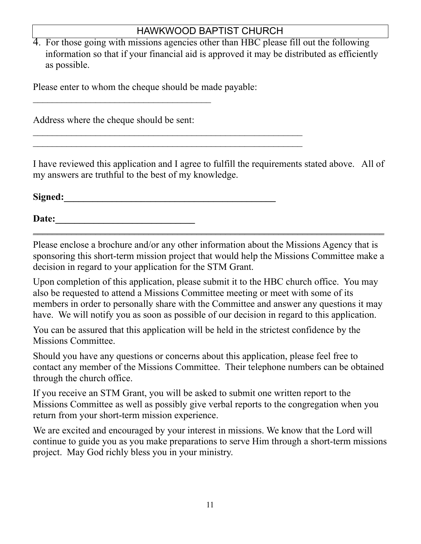4. For those going with missions agencies other than HBC please fill out the following information so that if your financial aid is approved it may be distributed as efficiently as possible.

Please enter to whom the cheque should be made payable:

Address where the cheque should be sent:

 $\overline{\phantom{a}}$  ,  $\overline{\phantom{a}}$  ,  $\overline{\phantom{a}}$  ,  $\overline{\phantom{a}}$  ,  $\overline{\phantom{a}}$  ,  $\overline{\phantom{a}}$  ,  $\overline{\phantom{a}}$  ,  $\overline{\phantom{a}}$  ,  $\overline{\phantom{a}}$  ,  $\overline{\phantom{a}}$  ,  $\overline{\phantom{a}}$  ,  $\overline{\phantom{a}}$  ,  $\overline{\phantom{a}}$  ,  $\overline{\phantom{a}}$  ,  $\overline{\phantom{a}}$  ,  $\overline{\phantom{a}}$ 

I have reviewed this application and I agree to fulfill the requirements stated above. All of my answers are truthful to the best of my knowledge.

**Signed:\_\_\_\_\_\_\_\_\_\_\_\_\_\_\_\_\_\_\_\_\_\_\_\_\_\_\_\_\_\_\_\_\_\_\_\_\_\_\_\_\_\_\_\_** 

 $\mathcal{L}_\text{max}$  , and the contract of the contract of the contract of the contract of the contract of the contract of the contract of the contract of the contract of the contract of the contract of the contract of the contr  $\mathcal{L}_\text{max}$  and the contract of the contract of the contract of the contract of the contract of the contract of

**Date:\_\_\_\_\_\_\_\_\_\_\_\_\_\_\_\_\_\_\_\_\_\_\_\_\_\_\_\_\_**  \_\_\_\_\_\_\_\_\_\_\_\_\_\_\_\_\_\_\_\_\_\_\_\_\_\_\_\_\_\_\_\_\_\_\_\_\_\_\_\_\_\_\_\_\_\_\_\_\_\_\_\_\_\_\_\_\_\_\_\_\_\_\_\_\_\_\_\_\_\_\_\_\_

Please enclose a brochure and/or any other information about the Missions Agency that is sponsoring this short-term mission project that would help the Missions Committee make a decision in regard to your application for the STM Grant.

Upon completion of this application, please submit it to the HBC church office. You may also be requested to attend a Missions Committee meeting or meet with some of its members in order to personally share with the Committee and answer any questions it may have. We will notify you as soon as possible of our decision in regard to this application.

You can be assured that this application will be held in the strictest confidence by the Missions Committee.

Should you have any questions or concerns about this application, please feel free to contact any member of the Missions Committee. Their telephone numbers can be obtained through the church office.

If you receive an STM Grant, you will be asked to submit one written report to the Missions Committee as well as possibly give verbal reports to the congregation when you return from your short-term mission experience.

We are excited and encouraged by your interest in missions. We know that the Lord will continue to guide you as you make preparations to serve Him through a short-term missions project. May God richly bless you in your ministry.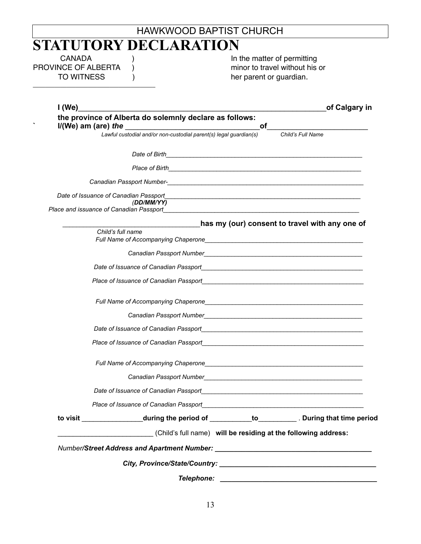# HAWKWOOD BAPTIST CHURCH **STATUTORY DECLARATION**

\_\_\_\_\_\_\_\_\_\_\_\_\_\_\_\_\_\_\_\_\_\_\_\_\_\_\_\_\_\_\_\_\_\_\_\_\_\_\_\_

CANADA (a) and the matter of permitting PROVINCE OF ALBERTA ) minor to travel without his or TO WITNESS (a) and the parent or guardian.

| the province of Alberta do solemnly declare as follows:                                                                                 | оf |                                                                                                                                                                                                                                      |
|-----------------------------------------------------------------------------------------------------------------------------------------|----|--------------------------------------------------------------------------------------------------------------------------------------------------------------------------------------------------------------------------------------|
| Lawful custodial and/or non-custodial parent(s) legal guardian(s)                                                                       |    | Child's Full Name                                                                                                                                                                                                                    |
|                                                                                                                                         |    |                                                                                                                                                                                                                                      |
|                                                                                                                                         |    |                                                                                                                                                                                                                                      |
|                                                                                                                                         |    |                                                                                                                                                                                                                                      |
|                                                                                                                                         |    |                                                                                                                                                                                                                                      |
| (DD/MM/YY)<br>Place and issuance of Canadian Passport <b>Canadian Accord Contract Canadian Accord Contract Contract Control Control</b> |    |                                                                                                                                                                                                                                      |
|                                                                                                                                         |    | has my (our) consent to travel with any one of                                                                                                                                                                                       |
| Child's full name                                                                                                                       |    |                                                                                                                                                                                                                                      |
|                                                                                                                                         |    |                                                                                                                                                                                                                                      |
|                                                                                                                                         |    |                                                                                                                                                                                                                                      |
|                                                                                                                                         |    |                                                                                                                                                                                                                                      |
|                                                                                                                                         |    | Full Name of Accompanying Chaperone <b>Container and Chapter and Chapter and Chapter and Chapter and Chapter and Chapter and Chapter and Chapter and Chapter and Chapter and Chapter and Chapter and Chapter and Chapter and Cha</b> |
|                                                                                                                                         |    |                                                                                                                                                                                                                                      |
|                                                                                                                                         |    |                                                                                                                                                                                                                                      |
|                                                                                                                                         |    | Place of Issuance of Canadian Passport <b>Canadian Canadian Canadian Canadian Canadian Canadian Canadian Canadian</b>                                                                                                                |
|                                                                                                                                         |    | Full Name of Accompanying Chaperone <b>Accompanying Chaperone</b> and the state of the state of the state of the state of the state of the state of the state of the state of the state of the state of the state of the state of t  |
|                                                                                                                                         |    | Canadian Passport Number National Canadian Communications of the Canadian Communication of the Canadian Communication                                                                                                                |
|                                                                                                                                         |    |                                                                                                                                                                                                                                      |
| Place of Issuance of Canadian Passport                                                                                                  |    |                                                                                                                                                                                                                                      |
|                                                                                                                                         |    | to visit during the period of to the During that time period                                                                                                                                                                         |
| (Child's full name) will be residing at the following address:                                                                          |    |                                                                                                                                                                                                                                      |
|                                                                                                                                         |    |                                                                                                                                                                                                                                      |
|                                                                                                                                         |    |                                                                                                                                                                                                                                      |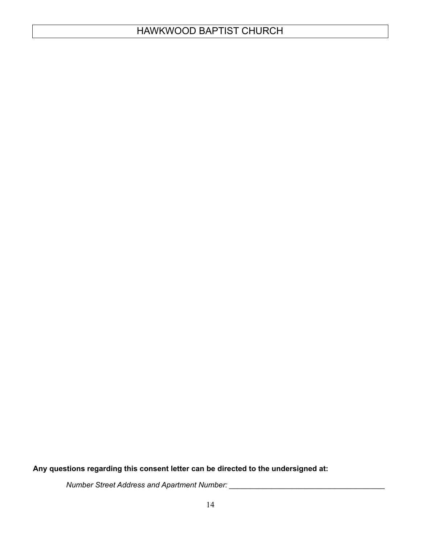**Any questions regarding this consent letter can be directed to the undersigned at:**

 *Number Street Address and Apartment Number: \_\_\_\_\_\_\_\_\_\_\_\_\_\_\_\_\_\_\_\_\_\_\_\_\_\_\_\_\_\_\_\_\_\_\_\_\_*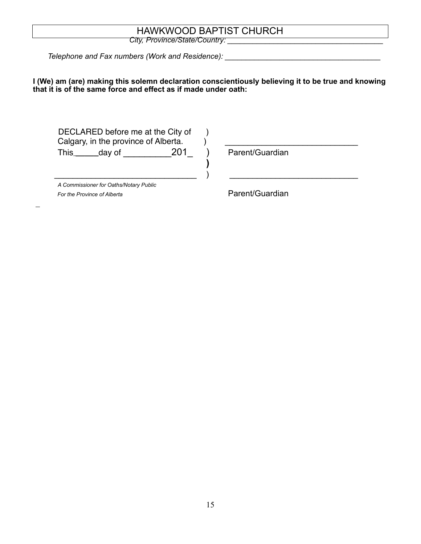*City, Province/State/Country: \_\_\_\_\_\_\_\_\_\_\_\_\_\_\_\_\_\_\_\_\_\_\_\_\_\_\_\_\_\_\_\_\_\_\_\_\_* 

 *Telephone and Fax numbers (Work and Residence): \_\_\_\_\_\_\_\_\_\_\_\_\_\_\_\_\_\_\_\_\_\_\_\_\_\_\_\_\_\_\_\_\_\_\_\_\_* 

#### **I (We) am (are) making this solemn declaration conscientiously believing it to be true and knowing that it is of the same force and effect as if made under oath:**

DECLARED before me at the City of ) Calgary, in the province of Alberta.  $\qquad$  ) This \_\_\_\_\_day of \_\_\_\_\_\_\_\_\_201\_ ) Parent/Guardian

**)** 

 *A Commissioner for Oaths/Notary Public For the Province of Alberta* **Parent/Guardian** 

\_\_\_\_\_\_\_\_\_\_\_\_\_\_\_\_\_\_\_\_\_\_\_\_\_\_\_\_\_\_\_ ) \_\_\_\_\_\_\_\_\_\_\_\_\_\_\_\_\_\_\_\_\_\_\_\_\_\_\_\_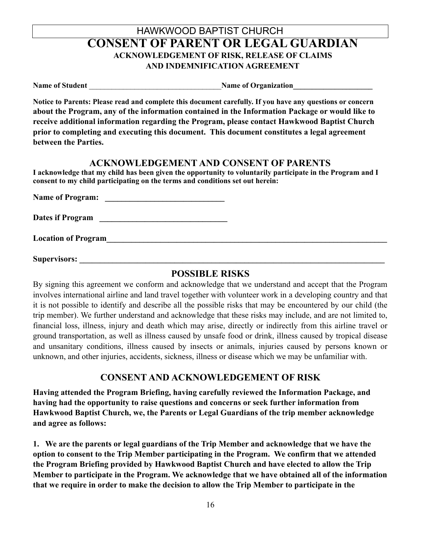## HAWKWOOD BAPTIST CHURCH **CONSENT OF PARENT OR LEGAL GUARDIAN ACKNOWLEDGEMENT OF RISK, RELEASE OF CLAIMS AND INDEMNIFICATION AGREEMENT**

Name of Student **Name of Student Name of Organization** 

**Notice to Parents: Please read and complete this document carefully. If you have any questions or concern about the Program, any of the information contained in the Information Package or would like to receive additional information regarding the Program, please contact Hawkwood Baptist Church prior to completing and executing this document. This document constitutes a legal agreement between the Parties.** 

### **ACKNOWLEDGEMENT AND CONSENT OF PARENTS**

**I acknowledge that my child has been given the opportunity to voluntarily participate in the Program and I consent to my child participating on the terms and conditions set out herein:** 

**Name of Program: \_\_\_\_\_\_\_\_\_\_\_\_\_\_\_\_\_\_\_\_\_\_\_\_\_\_\_\_\_** 

**Dates if Program \_\_\_\_\_\_\_\_\_\_\_\_\_\_\_\_\_\_\_\_\_\_\_\_\_\_\_\_\_\_\_** 

**Location of Program** 

**Supervisors: \_\_\_\_\_\_\_\_\_\_\_\_\_\_\_\_\_\_\_\_\_\_\_\_\_\_\_\_\_\_\_\_\_\_\_\_\_\_\_\_\_\_\_\_\_\_\_\_\_\_\_\_\_\_\_\_\_\_\_\_\_\_\_\_\_\_\_\_\_\_\_\_\_\_** 

## **POSSIBLE RISKS**

By signing this agreement we conform and acknowledge that we understand and accept that the Program involves international airline and land travel together with volunteer work in a developing country and that it is not possible to identify and describe all the possible risks that may be encountered by our child (the trip member). We further understand and acknowledge that these risks may include, and are not limited to, financial loss, illness, injury and death which may arise, directly or indirectly from this airline travel or ground transportation, as well as illness caused by unsafe food or drink, illness caused by tropical disease and unsanitary conditions, illness caused by insects or animals, injuries caused by persons known or unknown, and other injuries, accidents, sickness, illness or disease which we may be unfamiliar with.

### **CONSENT AND ACKNOWLEDGEMENT OF RISK**

**Having attended the Program Briefing, having carefully reviewed the Information Package, and having had the opportunity to raise questions and concerns or seek further information from Hawkwood Baptist Church, we, the Parents or Legal Guardians of the trip member acknowledge and agree as follows:** 

**1. We are the parents or legal guardians of the Trip Member and acknowledge that we have the option to consent to the Trip Member participating in the Program. We confirm that we attended the Program Briefing provided by Hawkwood Baptist Church and have elected to allow the Trip Member to participate in the Program. We acknowledge that we have obtained all of the information that we require in order to make the decision to allow the Trip Member to participate in the**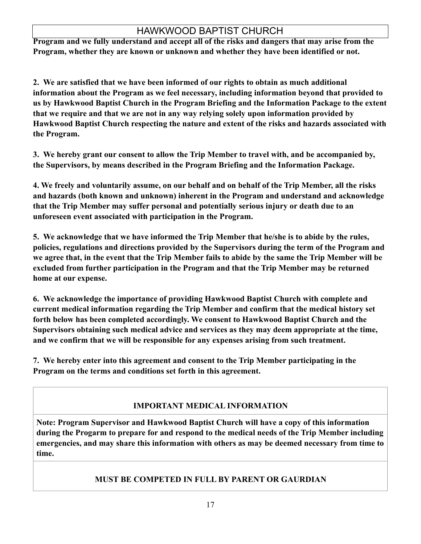**Program and we fully understand and accept all of the risks and dangers that may arise from the Program, whether they are known or unknown and whether they have been identified or not.** 

**2. We are satisfied that we have been informed of our rights to obtain as much additional information about the Program as we feel necessary, including information beyond that provided to us by Hawkwood Baptist Church in the Program Briefing and the Information Package to the extent that we require and that we are not in any way relying solely upon information provided by Hawkwood Baptist Church respecting the nature and extent of the risks and hazards associated with the Program.** 

**3. We hereby grant our consent to allow the Trip Member to travel with, and be accompanied by, the Supervisors, by means described in the Program Briefing and the Information Package.** 

**4. We freely and voluntarily assume, on our behalf and on behalf of the Trip Member, all the risks and hazards (both known and unknown) inherent in the Program and understand and acknowledge that the Trip Member may suffer personal and potentially serious injury or death due to an unforeseen event associated with participation in the Program.** 

**5. We acknowledge that we have informed the Trip Member that he/she is to abide by the rules, policies, regulations and directions provided by the Supervisors during the term of the Program and we agree that, in the event that the Trip Member fails to abide by the same the Trip Member will be excluded from further participation in the Program and that the Trip Member may be returned home at our expense.** 

**6. We acknowledge the importance of providing Hawkwood Baptist Church with complete and current medical information regarding the Trip Member and confirm that the medical history set forth below has been completed accordingly. We consent to Hawkwood Baptist Church and the Supervisors obtaining such medical advice and services as they may deem appropriate at the time, and we confirm that we will be responsible for any expenses arising from such treatment.** 

**7. We hereby enter into this agreement and consent to the Trip Member participating in the Program on the terms and conditions set forth in this agreement.** 

### **IMPORTANT MEDICAL INFORMATION**

**Note: Program Supervisor and Hawkwood Baptist Church will have a copy of this information during the Progarm to prepare for and respond to the medical needs of the Trip Member including emergencies, and may share this information with others as may be deemed necessary from time to time.**

### **MUST BE COMPETED IN FULL BY PARENT OR GAURDIAN**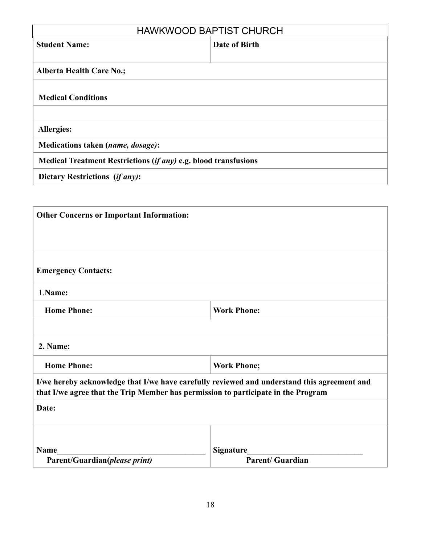| <b>HAWKWOOD BAPTIST CHURCH</b>                                  |               |  |  |  |
|-----------------------------------------------------------------|---------------|--|--|--|
| <b>Student Name:</b>                                            | Date of Birth |  |  |  |
| <b>Alberta Health Care No.;</b>                                 |               |  |  |  |
| <b>Medical Conditions</b>                                       |               |  |  |  |
| <b>Allergies:</b>                                               |               |  |  |  |
| Medications taken (name, dosage):                               |               |  |  |  |
| Medical Treatment Restrictions (if any) e.g. blood transfusions |               |  |  |  |
| Dietary Restrictions (if any):                                  |               |  |  |  |
|                                                                 |               |  |  |  |
| <b>Other Concerns or Important Information:</b>                 |               |  |  |  |

| 2. Name: |
|----------|
|          |

1.**Name:**

**Emergency Contacts:**

| $\mathcal{L}_{\bullet}$ in all it.                                                                                                                                               |                                                       |
|----------------------------------------------------------------------------------------------------------------------------------------------------------------------------------|-------------------------------------------------------|
| <b>Home Phone:</b>                                                                                                                                                               | <b>Work Phone;</b>                                    |
| I/we hereby acknowledge that I/we have carefully reviewed and understand this agreement and<br>that I/we agree that the Trip Member has permission to participate in the Program |                                                       |
| Date:                                                                                                                                                                            |                                                       |
| Name<br>$\blacksquare$<br>$\overline{10}$<br>$\bullet$ $\lambda$<br>$\blacksquare$                                                                                               | <b>Signature</b><br>$\mathbf{R}$ $\mathbf{R}$<br>- 70 |

**Home Phone: Work Phone:** 

 **Parent/Guardian(***please print)*

 **Parent/ Guardian**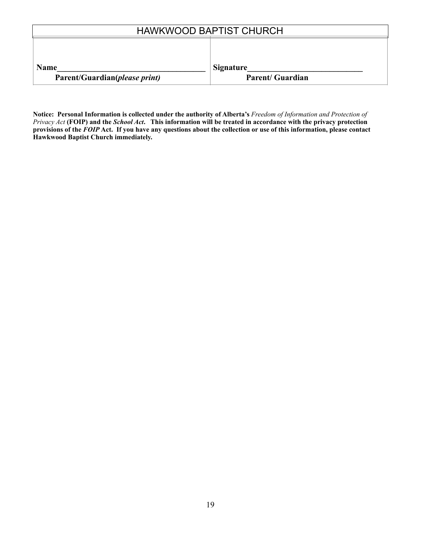| <b>HAWKWOOD BAPTIST CHURCH</b>                        |                                     |  |  |  |
|-------------------------------------------------------|-------------------------------------|--|--|--|
|                                                       |                                     |  |  |  |
| <b>Name</b><br>Parent/Guardian( <i>please print</i> ) | Signature<br><b>Parent/Guardian</b> |  |  |  |

**Notice: Personal Information is collected under the authority of Alberta's** *Freedom of Information and Protection of Privacy Act* **(FOIP) and the** *School Act***. This information will be treated in accordance with the privacy protection provisions of the** *FOIP* **Act. If you have any questions about the collection or use of this information, please contact Hawkwood Baptist Church immediately.**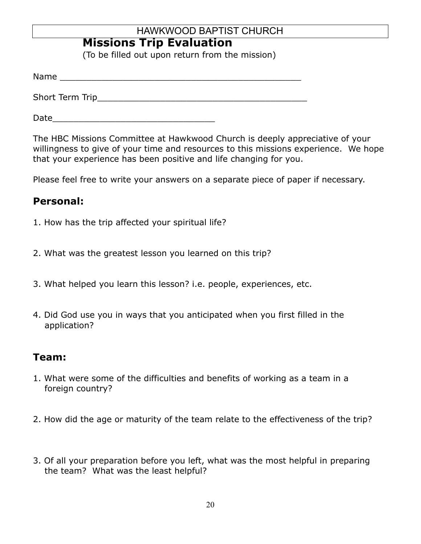## **Missions Trip Evaluation**

(To be filled out upon return from the mission)

 $Name$ 

Short Term Trip\_\_\_\_\_\_\_\_\_\_\_\_\_\_\_\_\_\_\_\_\_\_\_\_\_\_\_\_\_\_\_\_\_\_\_\_\_\_\_\_

Date\_\_\_\_\_\_\_\_\_\_\_\_\_\_\_\_\_\_\_\_\_\_\_\_\_\_\_\_\_\_\_

The HBC Missions Committee at Hawkwood Church is deeply appreciative of your willingness to give of your time and resources to this missions experience. We hope that your experience has been positive and life changing for you.

Please feel free to write your answers on a separate piece of paper if necessary.

## **Personal:**

- 1. How has the trip affected your spiritual life?
- 2. What was the greatest lesson you learned on this trip?
- 3. What helped you learn this lesson? i.e. people, experiences, etc.
- 4. Did God use you in ways that you anticipated when you first filled in the application?

### **Team:**

- 1. What were some of the difficulties and benefits of working as a team in a foreign country?
- 2. How did the age or maturity of the team relate to the effectiveness of the trip?
- 3. Of all your preparation before you left, what was the most helpful in preparing the team? What was the least helpful?